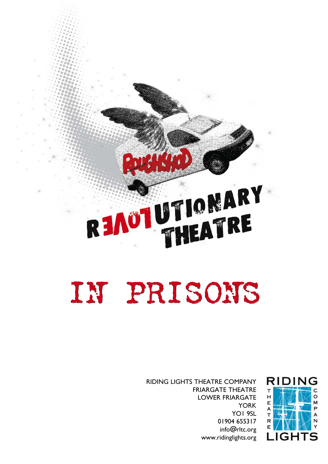# READT UTIONARY

## IN PRISONS



RIDING LIGHTS THEATRE COMPANY FRIARGATE THEATRE LOWER FRIARGATE YORK YO1 9SL 01904 655317 info@rltc.org www.ridinglights.org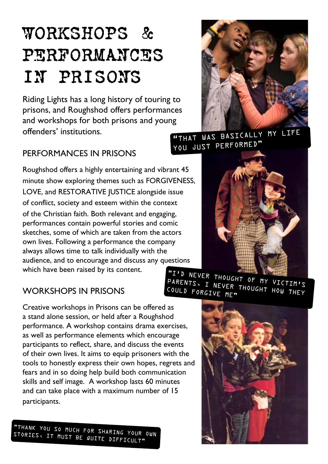## WORKSHOPS & PERFORMANCES IN PRISONS

Riding Lights has a long history of touring to prisons, and Roughshod offers performances and workshops for both prisons and young offenders' institutions.

#### PERFORMANCES IN PRISONS

Roughshod offers a highly entertaining and vibrant 45 minute show exploring themes such as FORGIVENESS, LOVE, and RESTORATIVE JUSTICE alongside issue of conflict, society and esteem within the context of the Christian faith. Both relevant and engaging, performances contain powerful stories and comic sketches, some of which are taken from the actors own lives. Following a performance the company always allows time to talk individually with the audience, and to encourage and discuss any questions which have been raised by its content.



"THAT WAS BASICALLY MY LIFE YOU JUST PERFORMED"



#### WORKSHOPS IN PRISONS

Creative workshops in Prisons can be offered as a stand alone session, or held after a Roughshod performance. A workshop contains drama exercises, as well as performance elements which encourage participants to reflect, share, and discuss the events of their own lives. It aims to equip prisoners with the tools to honestly express their own hopes, regrets and fears and in so doing help build both communication skills and self image. A workshop lasts 60 minutes and can take place with a maximum number of 15 participants.

"THANK YOU SO MUCH FOR SHARING YOUR OWN STORIES, IT MUST BE QUITE DIFFICULT"

"I'D NEVER THOUGHT OF MY VICTIM'S PARENTS, I NEVER THOUGHT HOW THEY<br>COULD FORGIVE ME" COULD FORGIVE ME"

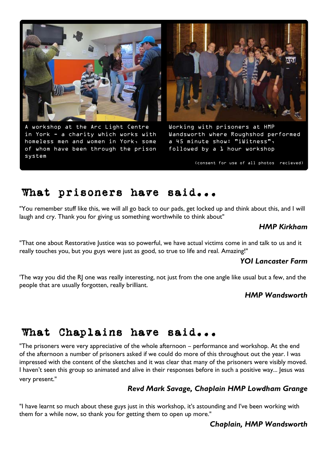

A workshop at the Arc Light Centre in York - a charity which works with homeless men and women in York, some of whom have been through the prison system



Working with prisoners at HMP Wandsworth where Roughshod performed a 45 minute show: "iWitness", followed by a 1 hour workshop

(consent for use of all photos recieved)

#### What prisoners have said...

"You remember stuff like this, we will all go back to our pads, get locked up and think about this, and I will laugh and cry. Thank you for giving us something worthwhile to think about"

#### *HMP Kirkham*

"That one about Restorative Justice was so powerful, we have actual victims come in and talk to us and it really touches you, but you guys were just as good, so true to life and real. Amazing!"

#### *YOI Lancaster Farm*

'The way you did the RJ one was really interesting, not just from the one angle like usual but a few, and the people that are usually forgotten, really brilliant.

#### *HMP Wandsworth*

#### What Chaplains have said...

"The prisoners were very appreciative of the whole afternoon – performance and workshop. At the end of the afternoon a number of prisoners asked if we could do more of this throughout out the year. I was impressed with the content of the sketches and it was clear that many of the prisoners were visibly moved. I haven't seen this group so animated and alive in their responses before in such a positive way... Jesus was very present."

#### *Revd Mark Savage, Chaplain HMP Lowdham Grange*

"I have learnt so much about these guys just in this workshop, it's astounding and I've been working with them for a while now, so thank you for getting them to open up more."

#### *Chaplain, HMP Wandsworth*